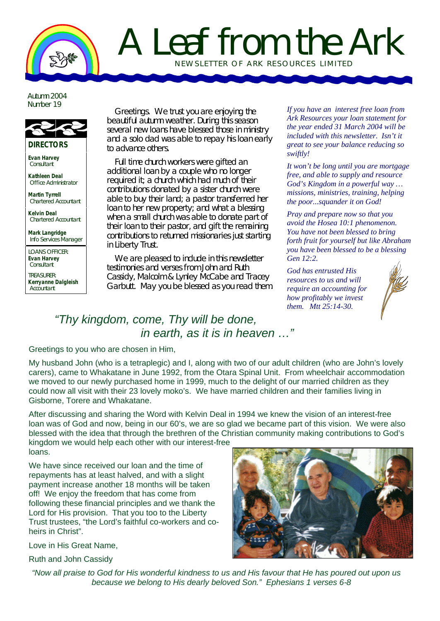# A Leaf from the Ark NEWSLETTER OF ARK RE SOURCES LIMITED

Autumn 2004 Number 19



**Evan Harvey Consultant** 

**Kathleen Deal** Office Administrator

**Martin Tyrrell** Chartered Accountant

**Kelvin Deal** Chartered Accountant

**Mark Langridge** Info Services Manager

LOANS OFFICER: **Evan Harvey Consultant** 

TREASURER: **Kerryanne Dalgleish** Accountant

Greetings. We trust you are enjoying the beautiful autumn weather. During this season several new loans have blessed those in ministry and a solo dad was able to repay his loan early to advance others.

Full time church workers were gifted an additional loan by a couple who no longer required it; a church which had much of their contributions donated by a sister church were able to buy their land; a pastor transferred her loan to her new property; and what a blessing when a small church was able to donate part of their loan to their pastor, and gift the remaining contributions to returned missionaries just starting in Liberty Trust.

We are pleased to include in this newsletter testimonies and verses from John and Ruth Cassidy, Malcolm & Lynley McCabe and Tracey Garbutt. May you be blessed as you read them.

*If you have an interest free loan from Ark Resources your loan statement for the year ended 31 March 2004 will be included with this newsletter. Isn't it great to see your balance reducing so swiftly!* 

*It won't be long until you are mortgage free, and able to supply and resource God's Kingdom in a powerful way … missions, ministries, training, helping the poor...squander it on God!* 

*Pray and prepare now so that you avoid the Hosea 10:1 phenomenon. You have not been blessed to bring forth fruit for yourself but like Abraham you have been blessed to be a blessing Gen 12:2.* 

*God has entrusted His resources to us and will require an accounting for how profitably we invest them. Mtt 25:14-30.*



### *"Thy kingdom, come, Thy will be done, in earth, as it is in heaven …"*

#### Greetings to you who are chosen in Him,

My husband John (who is a tetraplegic) and I, along with two of our adult children (who are John's lovely carers), came to Whakatane in June 1992, from the Otara Spinal Unit. From wheelchair accommodation we moved to our newly purchased home in 1999, much to the delight of our married children as they could now all visit with their 23 lovely moko's. We have married children and their families living in Gisborne, Torere and Whakatane.

After discussing and sharing the Word with Kelvin Deal in 1994 we knew the vision of an interest-free loan was of God and now, being in our 60's, we are so glad we became part of this vision. We were also blessed with the idea that through the brethren of the Christian community making contributions to God's kingdom we would help each other with our interest-free

loans.

We have since received our loan and the time of repayments has at least halved, and with a slight payment increase another 18 months will be taken off! We enjoy the freedom that has come from following these financial principles and we thank the Lord for His provision. That you too to the Liberty Trust trustees, "the Lord's faithful co-workers and coheirs in Christ".

Love in His Great Name,

Ruth and John Cassidy

*"Now all praise to God for His wonderful kindness to us and His favour that He has poured out upon us because we belong to His dearly beloved Son." Ephesians 1 verses 6-8*